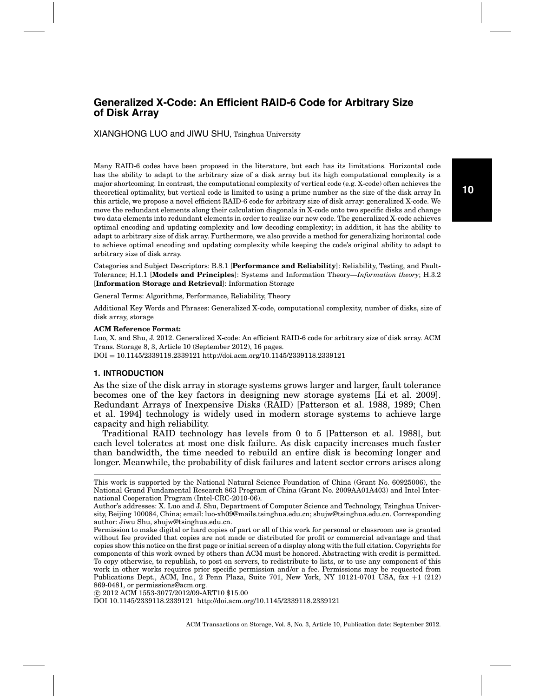# **Generalized X-Code: An Efficient RAID-6 Code for Arbitrary Size of Disk Array**

XIANGHONG LUO and JIWU SHU, Tsinghua University

Many RAID-6 codes have been proposed in the literature, but each has its limitations. Horizontal code has the ability to adapt to the arbitrary size of a disk array but its high computational complexity is a major shortcoming. In contrast, the computational complexity of vertical code (e.g. X-code) often achieves the theoretical optimality, but vertical code is limited to using a prime number as the size of the disk array In this article, we propose a novel efficient RAID-6 code for arbitrary size of disk array: generalized X-code. We move the redundant elements along their calculation diagonals in X-code onto two specific disks and change two data elements into redundant elements in order to realize our new code. The generalized X-code achieves optimal encoding and updating complexity and low decoding complexity; in addition, it has the ability to adapt to arbitrary size of disk array. Furthermore, we also provide a method for generalizing horizontal code to achieve optimal encoding and updating complexity while keeping the code's original ability to adapt to arbitrary size of disk array.

Categories and Subject Descriptors: B.8.1 [**Performance and Reliability**]: Reliability, Testing, and Fault-Tolerance; H.1.1 [**Models and Principles**]: Systems and Information Theory—*Information theory*; H.3.2 [**Information Storage and Retrieval**]: Information Storage

General Terms: Algorithms, Performance, Reliability, Theory

Additional Key Words and Phrases: Generalized X-code, computational complexity, number of disks, size of disk array, storage

#### **ACM Reference Format:**

Luo, X. and Shu, J. 2012. Generalized X-code: An efficient RAID-6 code for arbitrary size of disk array. ACM Trans. Storage 8, 3, Article 10 (September 2012), 16 pages.

DOI = 10.1145/2339118.2339121 http://doi.acm.org/10.1145/2339118.2339121

# **1. INTRODUCTION**

As the size of the disk array in storage systems grows larger and larger, fault tolerance becomes one of the key factors in designing new storage systems [Li et al. 2009]. Redundant Arrays of Inexpensive Disks (RAID) [Patterson et al. 1988, 1989; Chen et al. 1994] technology is widely used in modern storage systems to achieve large capacity and high reliability.

Traditional RAID technology has levels from 0 to 5 [Patterson et al. 1988], but each level tolerates at most one disk failure. As disk capacity increases much faster than bandwidth, the time needed to rebuild an entire disk is becoming longer and longer. Meanwhile, the probability of disk failures and latent sector errors arises along

-c 2012 ACM 1553-3077/2012/09-ART10 \$15.00

DOI 10.1145/2339118.2339121 http://doi.acm.org/10.1145/2339118.2339121

This work is supported by the National Natural Science Foundation of China (Grant No. 60925006), the National Grand Fundamental Research 863 Program of China (Grant No. 2009AA01A403) and Intel International Cooperation Program (Intel-CRC-2010-06).

Author's addresses: X. Luo and J. Shu, Department of Computer Science and Technology, Tsinghua University, Beijing 100084, China; email: luo-xh09@mails.tsinghua.edu.cn; shujw@tsinghua.edu.cn. Corresponding author: Jiwu Shu, shujw@tsinghua.edu.cn.

Permission to make digital or hard copies of part or all of this work for personal or classroom use is granted without fee provided that copies are not made or distributed for profit or commercial advantage and that copies show this notice on the first page or initial screen of a display along with the full citation. Copyrights for components of this work owned by others than ACM must be honored. Abstracting with credit is permitted. To copy otherwise, to republish, to post on servers, to redistribute to lists, or to use any component of this work in other works requires prior specific permission and/or a fee. Permissions may be requested from Publications Dept., ACM, Inc., 2 Penn Plaza, Suite 701, New York, NY 10121-0701 USA,  $\bar{f}ax +1$  (212) 869-0481, or permissions@acm.org.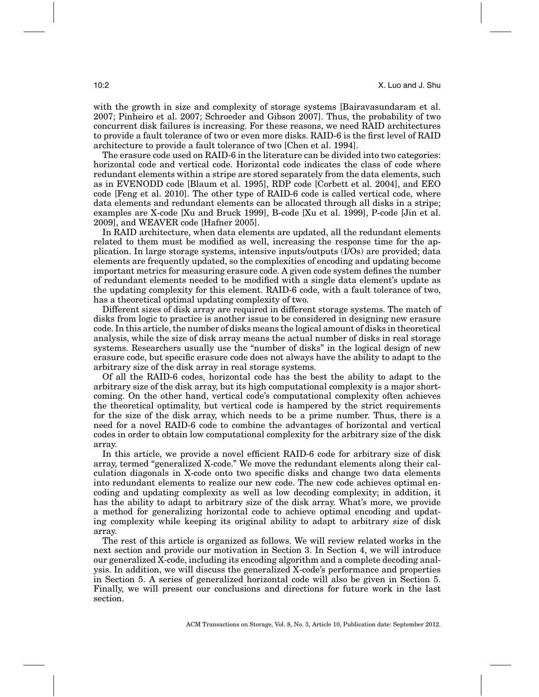with the growth in size and complexity of storage systems [Bairavasundaram et al. 2007; Pinheiro et al. 2007; Schroeder and Gibson 2007]. Thus, the probability of two concurrent disk failures is increasing. For these reasons, we need RAID architectures to provide a fault tolerance of two or even more disks. RAID-6 is the first level of RAID architecture to provide a fault tolerance of two [Chen et al. 1994].

The erasure code used on RAID-6 in the literature can be divided into two categories: horizontal code and vertical code. Horizontal code indicates the class of code where redundant elements within a stripe are stored separately from the data elements, such as in EVENODD code [Blaum et al. 1995], RDP code [Corbett et al. 2004], and EEO code [Feng et al. 2010]. The other type of RAID-6 code is called vertical code, where data elements and redundant elements can be allocated through all disks in a stripe; examples are X-code [Xu and Bruck 1999], B-code [Xu et al. 1999], P-code [Jin et al. 2009], and WEAVER code [Hafner 2005].

In RAID architecture, when data elements are updated, all the redundant elements related to them must be modified as well, increasing the response time for the application. In large storage systems, intensive inputs/outputs (I/Os) are provided; data elements are frequently updated, so the complexities of encoding and updating become important metrics for measuring erasure code. A given code system defines the number of redundant elements needed to be modified with a single data element's update as the updating complexity for this element. RAID-6 code, with a fault tolerance of two, has a theoretical optimal updating complexity of two.

Different sizes of disk array are required in different storage systems. The match of disks from logic to practice is another issue to be considered in designing new erasure code. In this article, the number of disks means the logical amount of disks in theoretical analysis, while the size of disk array means the actual number of disks in real storage systems. Researchers usually use the "number of disks" in the logical design of new erasure code, but specific erasure code does not always have the ability to adapt to the arbitrary size of the disk array in real storage systems.

Of all the RAID-6 codes, horizontal code has the best the ability to adapt to the arbitrary size of the disk array, but its high computational complexity is a major shortcoming. On the other hand, vertical code's computational complexity often achieves the theoretical optimality, but vertical code is hampered by the strict requirements for the size of the disk array, which needs to be a prime number. Thus, there is a need for a novel RAID-6 code to combine the advantages of horizontal and vertical codes in order to obtain low computational complexity for the arbitrary size of the disk array.

In this article, we provide a novel efficient RAID-6 code for arbitrary size of disk array, termed "generalized X-code." We move the redundant elements along their calculation diagonals in X-code onto two specific disks and change two data elements into redundant elements to realize our new code. The new code achieves optimal encoding and updating complexity as well as low decoding complexity; in addition, it has the ability to adapt to arbitrary size of the disk array. What's more, we provide a method for generalizing horizontal code to achieve optimal encoding and updating complexity while keeping its original ability to adapt to arbitrary size of disk array.

The rest of this article is organized as follows. We will review related works in the next section and provide our motivation in Section 3. In Section 4, we will introduce our generalized X-code, including its encoding algorithm and a complete decoding analysis. In addition, we will discuss the generalized X-code's performance and properties in Section 5. A series of generalized horizontal code will also be given in Section 5. Finally, we will present our conclusions and directions for future work in the last section.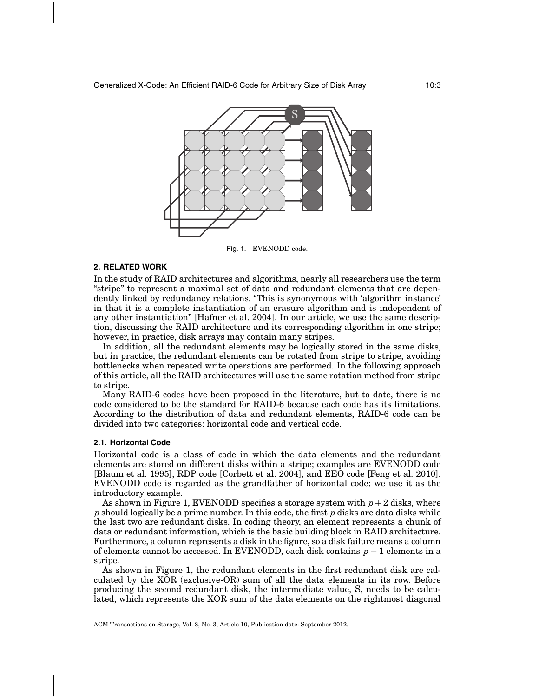

Fig. 1. EVENODD code.

## **2. RELATED WORK**

In the study of RAID architectures and algorithms, nearly all researchers use the term "stripe" to represent a maximal set of data and redundant elements that are dependently linked by redundancy relations. "This is synonymous with 'algorithm instance' in that it is a complete instantiation of an erasure algorithm and is independent of any other instantiation" [Hafner et al. 2004]. In our article, we use the same description, discussing the RAID architecture and its corresponding algorithm in one stripe; however, in practice, disk arrays may contain many stripes.

In addition, all the redundant elements may be logically stored in the same disks, but in practice, the redundant elements can be rotated from stripe to stripe, avoiding bottlenecks when repeated write operations are performed. In the following approach of this article, all the RAID architectures will use the same rotation method from stripe to stripe.

Many RAID-6 codes have been proposed in the literature, but to date, there is no code considered to be the standard for RAID-6 because each code has its limitations. According to the distribution of data and redundant elements, RAID-6 code can be divided into two categories: horizontal code and vertical code.

# **2.1. Horizontal Code**

Horizontal code is a class of code in which the data elements and the redundant elements are stored on different disks within a stripe; examples are EVENODD code [Blaum et al. 1995], RDP code [Corbett et al. 2004], and EEO code [Feng et al. 2010]. EVENODD code is regarded as the grandfather of horizontal code; we use it as the introductory example.

As shown in Figure 1, EVENODD specifies a storage system with  $p+2$  disks, where *p* should logically be a prime number. In this code, the first *p* disks are data disks while the last two are redundant disks. In coding theory, an element represents a chunk of data or redundant information, which is the basic building block in RAID architecture. Furthermore, a column represents a disk in the figure, so a disk failure means a column of elements cannot be accessed. In EVENODD, each disk contains *p* − 1 elements in a stripe.

As shown in Figure 1, the redundant elements in the first redundant disk are calculated by the XOR (exclusive-OR) sum of all the data elements in its row. Before producing the second redundant disk, the intermediate value, S, needs to be calculated, which represents the XOR sum of the data elements on the rightmost diagonal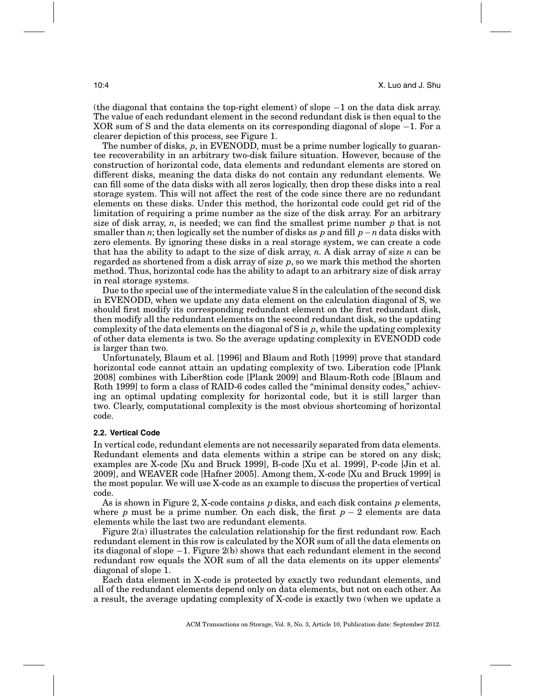(the diagonal that contains the top-right element) of slope  $-1$  on the data disk array. The value of each redundant element in the second redundant disk is then equal to the XOR sum of S and the data elements on its corresponding diagonal of slope −1. For a clearer depiction of this process, see Figure 1.

The number of disks, *p*, in EVENODD, must be a prime number logically to guarantee recoverability in an arbitrary two-disk failure situation. However, because of the construction of horizontal code, data elements and redundant elements are stored on different disks, meaning the data disks do not contain any redundant elements. We can fill some of the data disks with all zeros logically, then drop these disks into a real storage system. This will not affect the rest of the code since there are no redundant elements on these disks. Under this method, the horizontal code could get rid of the limitation of requiring a prime number as the size of the disk array. For an arbitrary size of disk array, *n*, is needed; we can find the smallest prime number *p* that is not smaller than *n*; then logically set the number of disks as *p* and fill *p*−*n* data disks with zero elements. By ignoring these disks in a real storage system, we can create a code that has the ability to adapt to the size of disk array, *n*. A disk array of size *n* can be regarded as shortened from a disk array of size *p*, so we mark this method the shorten method. Thus, horizontal code has the ability to adapt to an arbitrary size of disk array in real storage systems.

Due to the special use of the intermediate value S in the calculation of the second disk in EVENODD, when we update any data element on the calculation diagonal of S, we should first modify its corresponding redundant element on the first redundant disk, then modify all the redundant elements on the second redundant disk, so the updating complexity of the data elements on the diagonal of S is *p*, while the updating complexity of other data elements is two. So the average updating complexity in EVENODD code is larger than two.

Unfortunately, Blaum et al. [1996] and Blaum and Roth [1999] prove that standard horizontal code cannot attain an updating complexity of two. Liberation code [Plank 2008] combines with Liber8tion code [Plank 2009] and Blaum-Roth code [Blaum and Roth 1999] to form a class of RAID-6 codes called the "minimal density codes," achieving an optimal updating complexity for horizontal code, but it is still larger than two. Clearly, computational complexity is the most obvious shortcoming of horizontal code.

## **2.2. Vertical Code**

In vertical code, redundant elements are not necessarily separated from data elements. Redundant elements and data elements within a stripe can be stored on any disk; examples are X-code [Xu and Bruck 1999], B-code [Xu et al. 1999], P-code [Jin et al. 2009], and WEAVER code [Hafner 2005]. Among them, X-code [Xu and Bruck 1999] is the most popular. We will use X-code as an example to discuss the properties of vertical code.

As is shown in Figure 2, X-code contains *p* disks, and each disk contains *p* elements, where *p* must be a prime number. On each disk, the first *p* − 2 elements are data elements while the last two are redundant elements.

Figure 2(a) illustrates the calculation relationship for the first redundant row. Each redundant element in this row is calculated by the XOR sum of all the data elements on its diagonal of slope −1. Figure 2(b) shows that each redundant element in the second redundant row equals the XOR sum of all the data elements on its upper elements' diagonal of slope 1.

Each data element in X-code is protected by exactly two redundant elements, and all of the redundant elements depend only on data elements, but not on each other. As a result, the average updating complexity of X-code is exactly two (when we update a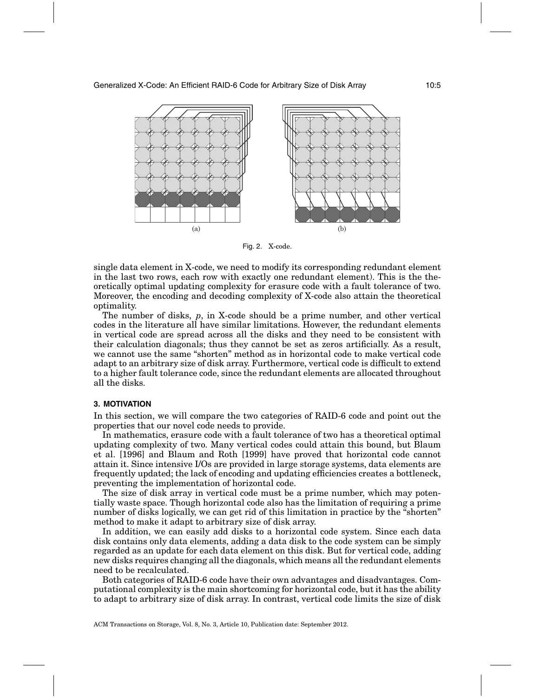

Fig. 2. X-code.

single data element in X-code, we need to modify its corresponding redundant element in the last two rows, each row with exactly one redundant element). This is the theoretically optimal updating complexity for erasure code with a fault tolerance of two. Moreover, the encoding and decoding complexity of X-code also attain the theoretical optimality.

The number of disks, *p*, in X-code should be a prime number, and other vertical codes in the literature all have similar limitations. However, the redundant elements in vertical code are spread across all the disks and they need to be consistent with their calculation diagonals; thus they cannot be set as zeros artificially. As a result, we cannot use the same "shorten" method as in horizontal code to make vertical code adapt to an arbitrary size of disk array. Furthermore, vertical code is difficult to extend to a higher fault tolerance code, since the redundant elements are allocated throughout all the disks.

# **3. MOTIVATION**

In this section, we will compare the two categories of RAID-6 code and point out the properties that our novel code needs to provide.

In mathematics, erasure code with a fault tolerance of two has a theoretical optimal updating complexity of two. Many vertical codes could attain this bound, but Blaum et al. [1996] and Blaum and Roth [1999] have proved that horizontal code cannot attain it. Since intensive I/Os are provided in large storage systems, data elements are frequently updated; the lack of encoding and updating efficiencies creates a bottleneck, preventing the implementation of horizontal code.

The size of disk array in vertical code must be a prime number, which may potentially waste space. Though horizontal code also has the limitation of requiring a prime number of disks logically, we can get rid of this limitation in practice by the "shorten" method to make it adapt to arbitrary size of disk array.

In addition, we can easily add disks to a horizontal code system. Since each data disk contains only data elements, adding a data disk to the code system can be simply regarded as an update for each data element on this disk. But for vertical code, adding new disks requires changing all the diagonals, which means all the redundant elements need to be recalculated.

Both categories of RAID-6 code have their own advantages and disadvantages. Computational complexity is the main shortcoming for horizontal code, but it has the ability to adapt to arbitrary size of disk array. In contrast, vertical code limits the size of disk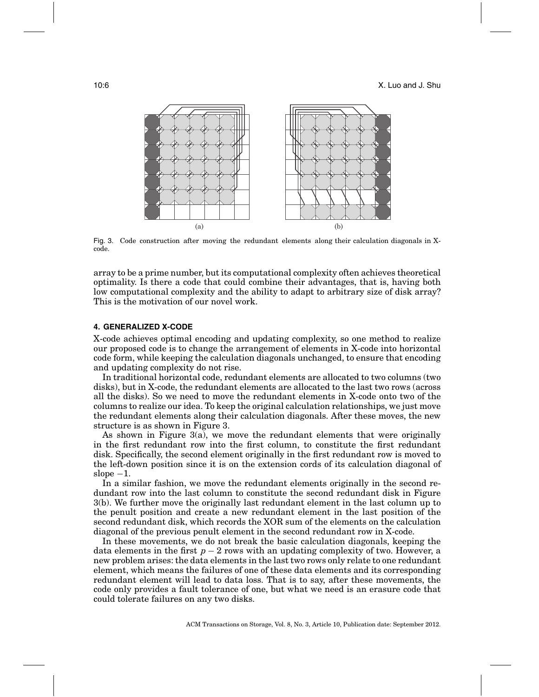

Fig. 3. Code construction after moving the redundant elements along their calculation diagonals in Xcode.

array to be a prime number, but its computational complexity often achieves theoretical optimality. Is there a code that could combine their advantages, that is, having both low computational complexity and the ability to adapt to arbitrary size of disk array? This is the motivation of our novel work.

# **4. GENERALIZED X-CODE**

X-code achieves optimal encoding and updating complexity, so one method to realize our proposed code is to change the arrangement of elements in X-code into horizontal code form, while keeping the calculation diagonals unchanged, to ensure that encoding and updating complexity do not rise.

In traditional horizontal code, redundant elements are allocated to two columns (two disks), but in X-code, the redundant elements are allocated to the last two rows (across all the disks). So we need to move the redundant elements in X-code onto two of the columns to realize our idea. To keep the original calculation relationships, we just move the redundant elements along their calculation diagonals. After these moves, the new structure is as shown in Figure 3.

As shown in Figure 3(a), we move the redundant elements that were originally in the first redundant row into the first column, to constitute the first redundant disk. Specifically, the second element originally in the first redundant row is moved to the left-down position since it is on the extension cords of its calculation diagonal of slope  $-1$ .

In a similar fashion, we move the redundant elements originally in the second redundant row into the last column to constitute the second redundant disk in Figure 3(b). We further move the originally last redundant element in the last column up to the penult position and create a new redundant element in the last position of the second redundant disk, which records the XOR sum of the elements on the calculation diagonal of the previous penult element in the second redundant row in X-code.

In these movements, we do not break the basic calculation diagonals, keeping the data elements in the first  $p-2$  rows with an updating complexity of two. However, a new problem arises: the data elements in the last two rows only relate to one redundant element, which means the failures of one of these data elements and its corresponding redundant element will lead to data loss. That is to say, after these movements, the code only provides a fault tolerance of one, but what we need is an erasure code that could tolerate failures on any two disks.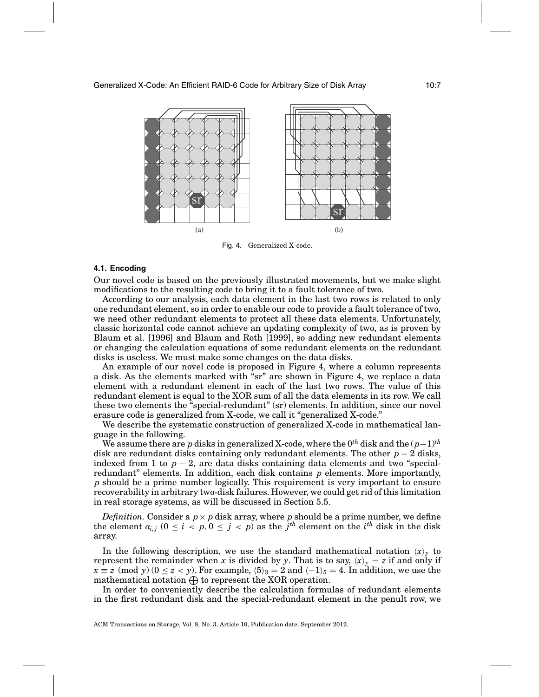

Fig. 4. Generalized X-code.

## **4.1. Encoding**

Our novel code is based on the previously illustrated movements, but we make slight modifications to the resulting code to bring it to a fault tolerance of two.

According to our analysis, each data element in the last two rows is related to only one redundant element, so in order to enable our code to provide a fault tolerance of two, we need other redundant elements to protect all these data elements. Unfortunately, classic horizontal code cannot achieve an updating complexity of two, as is proven by Blaum et al. [1996] and Blaum and Roth [1999], so adding new redundant elements or changing the calculation equations of some redundant elements on the redundant disks is useless. We must make some changes on the data disks.

An example of our novel code is proposed in Figure 4, where a column represents a disk. As the elements marked with "sr" are shown in Figure 4, we replace a data element with a redundant element in each of the last two rows. The value of this redundant element is equal to the XOR sum of all the data elements in its row. We call these two elements the "special-redundant" (sr) elements. In addition, since our novel erasure code is generalized from X-code, we call it "generalized X-code."

We describe the systematic construction of generalized X-code in mathematical language in the following.

We assume there are *p* disks in generalized X-code, where the 0*th* disk and the (*p*−1)*th* disk are redundant disks containing only redundant elements. The other *p* − 2 disks, indexed from 1 to  $p - 2$ , are data disks containing data elements and two "specialredundant" elements. In addition, each disk contains *p* elements. More importantly, *p* should be a prime number logically. This requirement is very important to ensure recoverability in arbitrary two-disk failures. However, we could get rid of this limitation in real storage systems, as will be discussed in Section 5.5.

*Definition.* Consider a  $p \times p$  disk array, where p should be a prime number, we define the element  $a_{i,j}$  ( $0 \le i < p, 0 \le j < p$ ) as the *j*<sup>th</sup> element on the *i*<sup>th</sup> disk in the disk array.

In the following description, we use the standard mathematical notation  $\langle x \rangle$ <sup>t</sup> to represent the remainder when *x* is divided by *y*. That is to say,  $\langle x \rangle_y = z$  if and only if  $x \equiv z \pmod{y}$  ( $0 \le z < y$ ). For example,  $\langle 5 \rangle_3 = 2$  and  $\langle -1 \rangle_5 = 4$ . In addition, we use the mathematical notation  $\bigoplus$  to represent the XOR operation.

In order to conveniently describe the calculation formulas of redundant elements in the first redundant disk and the special-redundant element in the penult row, we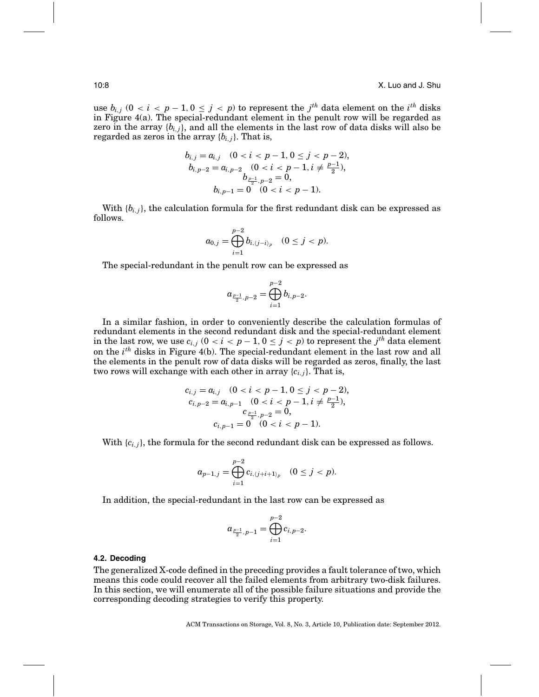use  $b_{i,j}$  (0 < *i* < *p* − 1, 0 ≤ *j* < *p*) to represent the *j*<sup>th</sup> data element on the *i*<sup>th</sup> disks in Figure 4(a). The special-redundant element in the penult row will be regarded as zero in the array  ${b_{i,j}}$ , and all the elements in the last row of data disks will also be regarded as zeros in the array  ${b_{i,j}}$ . That is,

$$
\begin{array}{l} b_{i,j}=a_{i,j} \quad (0 < i < p-1, 0 \leq j < p-2), \\ b_{i,p-2}=a_{i,p-2} \quad (0 < i < p-1, i \neq \frac{p-1}{2}), \\ b_{\frac{p-1}{2},p-2}=0, \\ b_{i,p-1}=0 \quad (0 < i < p-1). \end{array}
$$

With  ${b_{i,i}}$ , the calculation formula for the first redundant disk can be expressed as follows.

$$
a_{0,j}=\bigoplus_{i=1}^{p-2}b_{i,\langle j-i\rangle_p}\quad (0\leq j
$$

The special-redundant in the penult row can be expressed as

$$
a_{\frac{p-1}{2},p-2}=\bigoplus_{i=1}^{p-2}b_{i,p-2}.
$$

In a similar fashion, in order to conveniently describe the calculation formulas of redundant elements in the second redundant disk and the special-redundant element in the last row, we use  $c_{i,j}$  ( $0 < i < p-1, 0 \le j < p$ ) to represent the *j*<sup>th</sup> data element on the *ith* disks in Figure 4(b). The special-redundant element in the last row and all the elements in the penult row of data disks will be regarded as zeros, finally, the last two rows will exchange with each other in array  ${c_{i,j}}$ . That is,

$$
\begin{array}{ll}c_{i,j}=a_{i,j} & (0 < i < p-1, 0 \leq j < p-2),\\c_{i,p-2}=a_{i,p-1} & (0 < i < p-1, i \neq \frac{p-1}{2}),\\c_{\frac{p-1}{2},p-2}=0, &\\c_{i,p-1}=0 & (0 < i < p-1).\end{array}
$$

With  ${c_{i,j}}$ , the formula for the second redundant disk can be expressed as follows.

$$
a_{p-1,j} = \bigoplus_{i=1}^{p-2} c_{i, \langle j+i+1 \rangle_p} \quad (0 \leq j < p).
$$

In addition, the special-redundant in the last row can be expressed as

$$
a_{\frac{p-1}{2},p-1}=\bigoplus_{i=1}^{p-2}c_{i,p-2}.
$$

# **4.2. Decoding**

The generalized X-code defined in the preceding provides a fault tolerance of two, which means this code could recover all the failed elements from arbitrary two-disk failures. In this section, we will enumerate all of the possible failure situations and provide the corresponding decoding strategies to verify this property.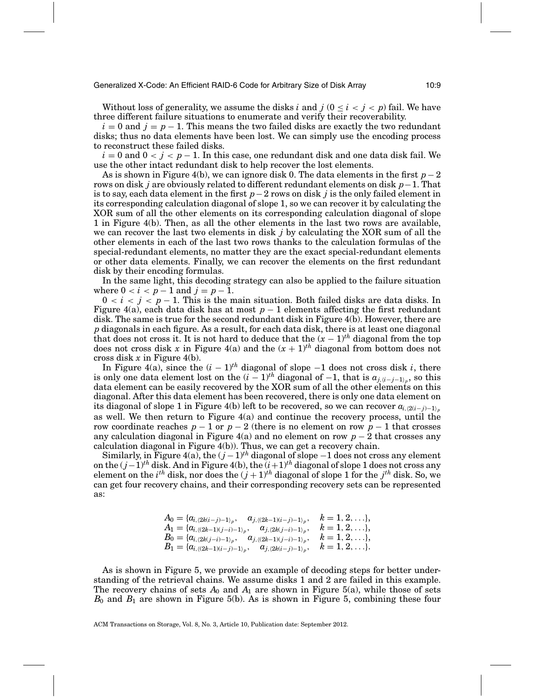Without loss of generality, we assume the disks *i* and  $j$  ( $0 \le i \le j \le p$ ) fail. We have three different failure situations to enumerate and verify their recoverability.

 $i = 0$  and  $j = p - 1$ . This means the two failed disks are exactly the two redundant disks; thus no data elements have been lost. We can simply use the encoding process to reconstruct these failed disks.

 $i = 0$  and  $0 < j < p - 1$ . In this case, one redundant disk and one data disk fail. We use the other intact redundant disk to help recover the lost elements.

As is shown in Figure 4(b), we can ignore disk 0. The data elements in the first *p*− 2 rows on disk *j* are obviously related to different redundant elements on disk *p*−1. That is to say, each data element in the first *p*−2 rows on disk *j* is the only failed element in its corresponding calculation diagonal of slope 1, so we can recover it by calculating the XOR sum of all the other elements on its corresponding calculation diagonal of slope 1 in Figure 4(b). Then, as all the other elements in the last two rows are available, we can recover the last two elements in disk *j* by calculating the XOR sum of all the other elements in each of the last two rows thanks to the calculation formulas of the special-redundant elements, no matter they are the exact special-redundant elements or other data elements. Finally, we can recover the elements on the first redundant disk by their encoding formulas.

In the same light, this decoding strategy can also be applied to the failure situation where  $0 < i < p - 1$  and  $j = p - 1$ .

 $0 < i < j < p-1$ . This is the main situation. Both failed disks are data disks. In Figure 4(a), each data disk has at most  $p-1$  elements affecting the first redundant disk. The same is true for the second redundant disk in Figure 4(b). However, there are *p* diagonals in each figure. As a result, for each data disk, there is at least one diagonal that does not cross it. It is not hard to deduce that the  $(x - 1)$ <sup>th</sup> diagonal from the top does not cross disk  $x$  in Figure 4(a) and the  $(x + 1)^{th}$  diagonal from bottom does not cross disk *x* in Figure 4(b).

In Figure 4(a), since the  $(i − 1)<sup>th</sup>$  diagonal of slope  $-1$  does not cross disk *i*, there is only one data element lost on the  $(i - 1)^{th}$  diagonal of  $-1$ , that is  $a_{i,(i-i-1)_n}$ , so this data element can be easily recovered by the XOR sum of all the other elements on this diagonal. After this data element has been recovered, there is only one data element on its diagonal of slope 1 in Figure 4(b) left to be recovered, so we can recover  $a_{i,(2(i-j)-1)p}$ as well. We then return to Figure 4(a) and continue the recovery process, until the row coordinate reaches  $p-1$  or  $p-2$  (there is no element on row  $p-1$  that crosses any calculation diagonal in Figure  $4(a)$  and no element on row  $p-2$  that crosses any calculation diagonal in Figure 4(b)). Thus, we can get a recovery chain.

Similarly, in Figure 4(a), the  $(j-1)$ <sup>th</sup> diagonal of slope  $-1$  does not cross any element on the (*j*−1)*th* disk. And in Figure 4(b), the (*i*+1)*th* diagonal of slope 1 does not cross any element on the *i*<sup>th</sup> disk, nor does the  $(j + 1)$ <sup>th</sup> diagonal of slope 1 for the *j*<sup>th</sup> disk. So, we can get four recovery chains, and their corresponding recovery sets can be represented as:

$$
A_0 = \{a_{i,\langle 2k(i-j)-1\rangle_p}, a_{j,\langle (2k-1)(i-j)-1\rangle_p}, k = 1, 2, \ldots\},\\ A_1 = \{a_{i,\langle (2k-1)(j-i)-1\rangle_p}, a_{j,\langle 2k(j-i)-1\rangle_p}, k = 1, 2, \ldots\},\\ B_0 = \{a_{i,\langle 2k(j-i)-1\rangle_p}, a_{j,\langle (2k-1)(j-i)-1\rangle_p}, k = 1, 2, \ldots\},\\ B_1 = \{a_{i,\langle (2k-1)(i-j)-1\rangle_p}, a_{j,\langle 2k(i-j)-1\rangle_p}, k = 1, 2, \ldots\}.
$$

As is shown in Figure 5, we provide an example of decoding steps for better understanding of the retrieval chains. We assume disks 1 and 2 are failed in this example. The recovery chains of sets  $A_0$  and  $A_1$  are shown in Figure 5(a), while those of sets  $B_0$  and  $B_1$  are shown in Figure 5(b). As is shown in Figure 5, combining these four

ACM Transactions on Storage, Vol. 8, No. 3, Article 10, Publication date: September 2012.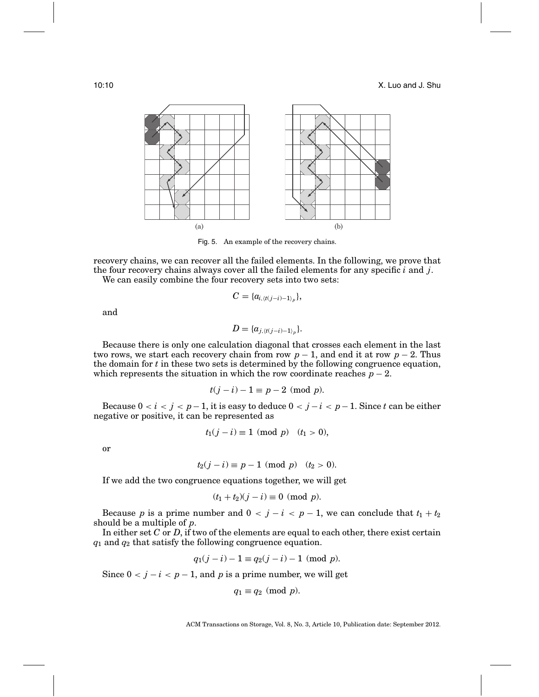

Fig. 5. An example of the recovery chains.

recovery chains, we can recover all the failed elements. In the following, we prove that the four recovery chains always cover all the failed elements for any specific *i* and *j*.

We can easily combine the four recovery sets into two sets:

$$
C=\{a_{i,\langle t(j-i)-1\rangle_p}\},\,
$$

and

$$
D=\{a_{j,\langle t(j-i)-1\rangle_p}\}.
$$

Because there is only one calculation diagonal that crosses each element in the last two rows, we start each recovery chain from row  $p-1$ , and end it at row  $p-2$ . Thus the domain for *t* in these two sets is determined by the following congruence equation, which represents the situation in which the row coordinate reaches  $p-2$ .

$$
t(j-i)-1 \equiv p-2 \pmod{p}.
$$

Because  $0 < i < j < p-1$ , it is easy to deduce  $0 < j-i < p-1$ . Since t can be either negative or positive, it can be represented as

$$
t_1(j-i) \equiv 1 \pmod{p} \quad (t_1 > 0),
$$

or

$$
t_2(j-i) \equiv p-1 \pmod{p} \quad (t_2 > 0).
$$

If we add the two congruence equations together, we will get

$$
(t_1 + t_2)(j - i) \equiv 0 \pmod{p}.
$$

Because *p* is a prime number and  $0 < j - i < p - 1$ , we can conclude that  $t_1 + t_2$ should be a multiple of *p*.

In either set *C* or *D*, if two of the elements are equal to each other, there exist certain *q*<sup>1</sup> and *q*<sup>2</sup> that satisfy the following congruence equation.

$$
q_1(j - i) - 1 \equiv q_2(j - i) - 1 \pmod{p}.
$$

Since  $0 < j - i < p - 1$ , and *p* is a prime number, we will get

$$
q_1 \equiv q_2 \pmod{p}.
$$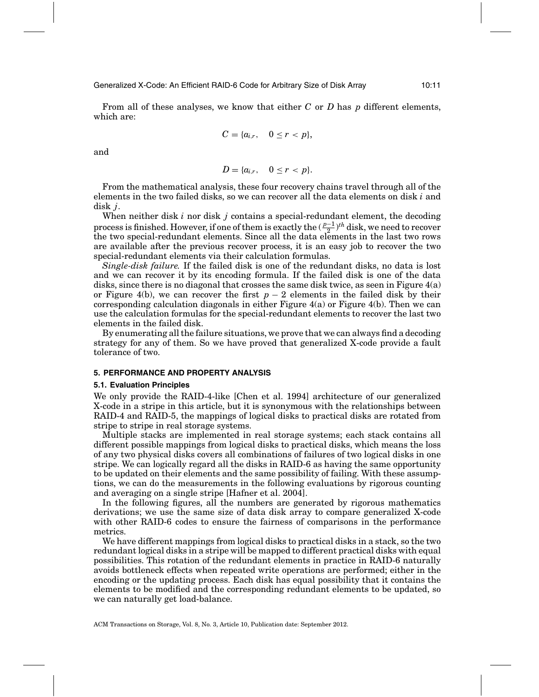Generalized X-Code: An Efficient RAID-6 Code for Arbitrary Size of Disk Array 10:11

From all of these analyses, we know that either *C* or *D* has *p* different elements, which are:

$$
C=\{a_{i,r},\quad 0\leq r
$$

and

$$
D=\{a_{i,r},\quad 0\leq r
$$

From the mathematical analysis, these four recovery chains travel through all of the elements in the two failed disks, so we can recover all the data elements on disk *i* and disk *j*.

When neither disk *i* nor disk *j* contains a special-redundant element, the decoding process is finished. However, if one of them is exactly the  $(\frac{p-1}{2})^{th}$  disk, we need to recover the two special-redundant elements. Since all the data elements in the last two rows are available after the previous recover process, it is an easy job to recover the two special-redundant elements via their calculation formulas.

*Single-disk failure.* If the failed disk is one of the redundant disks, no data is lost and we can recover it by its encoding formula. If the failed disk is one of the data disks, since there is no diagonal that crosses the same disk twice, as seen in Figure 4(a) or Figure 4(b), we can recover the first  $p-2$  elements in the failed disk by their corresponding calculation diagonals in either Figure  $4(a)$  or Figure  $4(b)$ . Then we can use the calculation formulas for the special-redundant elements to recover the last two elements in the failed disk.

By enumerating all the failure situations, we prove that we can always find a decoding strategy for any of them. So we have proved that generalized X-code provide a fault tolerance of two.

## **5. PERFORMANCE AND PROPERTY ANALYSIS**

#### **5.1. Evaluation Principles**

We only provide the RAID-4-like [Chen et al. 1994] architecture of our generalized X-code in a stripe in this article, but it is synonymous with the relationships between RAID-4 and RAID-5, the mappings of logical disks to practical disks are rotated from stripe to stripe in real storage systems.

Multiple stacks are implemented in real storage systems; each stack contains all different possible mappings from logical disks to practical disks, which means the loss of any two physical disks covers all combinations of failures of two logical disks in one stripe. We can logically regard all the disks in RAID-6 as having the same opportunity to be updated on their elements and the same possibility of failing. With these assumptions, we can do the measurements in the following evaluations by rigorous counting and averaging on a single stripe [Hafner et al. 2004].

In the following figures, all the numbers are generated by rigorous mathematics derivations; we use the same size of data disk array to compare generalized X-code with other RAID-6 codes to ensure the fairness of comparisons in the performance metrics.

We have different mappings from logical disks to practical disks in a stack, so the two redundant logical disks in a stripe will be mapped to different practical disks with equal possibilities. This rotation of the redundant elements in practice in RAID-6 naturally avoids bottleneck effects when repeated write operations are performed; either in the encoding or the updating process. Each disk has equal possibility that it contains the elements to be modified and the corresponding redundant elements to be updated, so we can naturally get load-balance.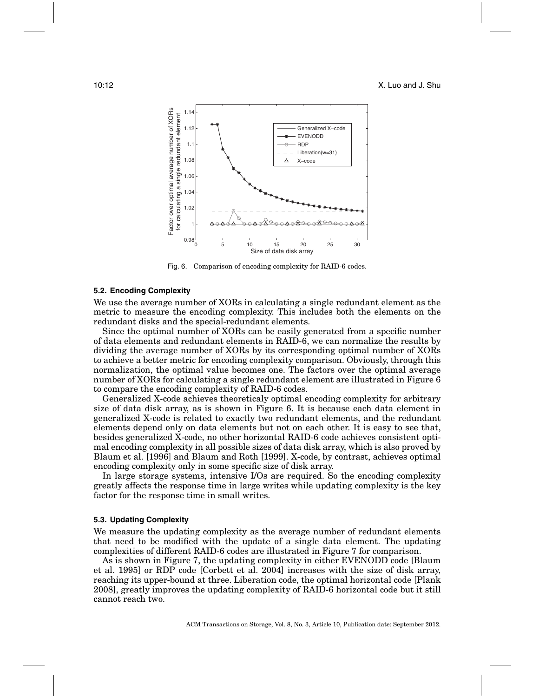

Fig. 6. Comparison of encoding complexity for RAID-6 codes.

## **5.2. Encoding Complexity**

We use the average number of XORs in calculating a single redundant element as the metric to measure the encoding complexity. This includes both the elements on the redundant disks and the special-redundant elements.

Since the optimal number of XORs can be easily generated from a specific number of data elements and redundant elements in RAID-6, we can normalize the results by dividing the average number of XORs by its corresponding optimal number of XORs to achieve a better metric for encoding complexity comparison. Obviously, through this normalization, the optimal value becomes one. The factors over the optimal average number of XORs for calculating a single redundant element are illustrated in Figure 6 to compare the encoding complexity of RAID-6 codes.

Generalized X-code achieves theoreticaly optimal encoding complexity for arbitrary size of data disk array, as is shown in Figure 6. It is because each data element in generalized X-code is related to exactly two redundant elements, and the redundant elements depend only on data elements but not on each other. It is easy to see that, besides generalized X-code, no other horizontal RAID-6 code achieves consistent optimal encoding complexity in all possible sizes of data disk array, which is also proved by Blaum et al. [1996] and Blaum and Roth [1999]. X-code, by contrast, achieves optimal encoding complexity only in some specific size of disk array.

In large storage systems, intensive I/Os are required. So the encoding complexity greatly affects the response time in large writes while updating complexity is the key factor for the response time in small writes.

#### **5.3. Updating Complexity**

We measure the updating complexity as the average number of redundant elements that need to be modified with the update of a single data element. The updating complexities of different RAID-6 codes are illustrated in Figure 7 for comparison.

As is shown in Figure 7, the updating complexity in either EVENODD code [Blaum et al. 1995] or RDP code [Corbett et al. 2004] increases with the size of disk array, reaching its upper-bound at three. Liberation code, the optimal horizontal code [Plank 2008], greatly improves the updating complexity of RAID-6 horizontal code but it still cannot reach two.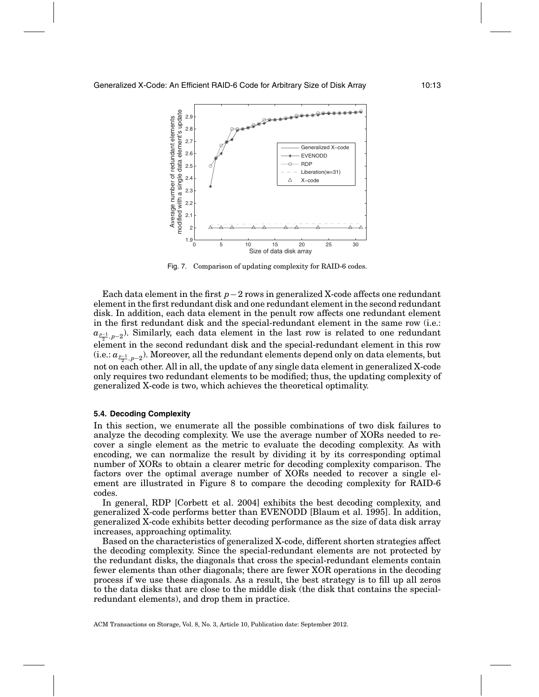

Fig. 7. Comparison of updating complexity for RAID-6 codes.

Each data element in the first *p*−2 rows in generalized X-code affects one redundant element in the first redundant disk and one redundant element in the second redundant disk. In addition, each data element in the penult row affects one redundant element in the first redundant disk and the special-redundant element in the same row (i.e.: *a*<sub>*p*<sup>−1</sup></sup>,*p*−2). Similarly, each data element in the last row is related to one redundant</sub> element in the second redundant disk and the special-redundant element in this row (i.e.:  $a_{\frac{p-1}{2},p-2}$ ). Moreover, all the redundant elements depend only on data elements, but not on each other. All in all, the update of any single data element in generalized X-code only requires two redundant elements to be modified; thus, the updating complexity of generalized X-code is two, which achieves the theoretical optimality.

#### **5.4. Decoding Complexity**

In this section, we enumerate all the possible combinations of two disk failures to analyze the decoding complexity. We use the average number of XORs needed to recover a single element as the metric to evaluate the decoding complexity. As with encoding, we can normalize the result by dividing it by its corresponding optimal number of XORs to obtain a clearer metric for decoding complexity comparison. The factors over the optimal average number of XORs needed to recover a single element are illustrated in Figure 8 to compare the decoding complexity for RAID-6 codes.

In general, RDP [Corbett et al. 2004] exhibits the best decoding complexity, and generalized X-code performs better than EVENODD [Blaum et al. 1995]. In addition, generalized X-code exhibits better decoding performance as the size of data disk array increases, approaching optimality.

Based on the characteristics of generalized X-code, different shorten strategies affect the decoding complexity. Since the special-redundant elements are not protected by the redundant disks, the diagonals that cross the special-redundant elements contain fewer elements than other diagonals; there are fewer XOR operations in the decoding process if we use these diagonals. As a result, the best strategy is to fill up all zeros to the data disks that are close to the middle disk (the disk that contains the specialredundant elements), and drop them in practice.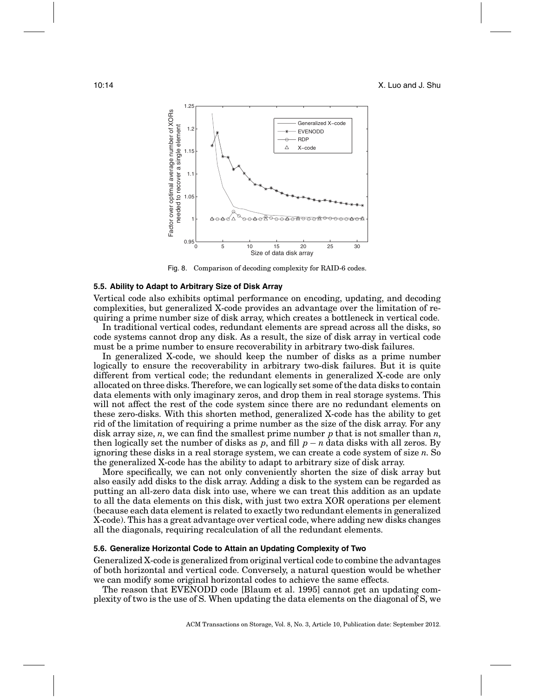

Fig. 8. Comparison of decoding complexity for RAID-6 codes.

### **5.5. Ability to Adapt to Arbitrary Size of Disk Array**

Vertical code also exhibits optimal performance on encoding, updating, and decoding complexities, but generalized X-code provides an advantage over the limitation of requiring a prime number size of disk array, which creates a bottleneck in vertical code.

In traditional vertical codes, redundant elements are spread across all the disks, so code systems cannot drop any disk. As a result, the size of disk array in vertical code must be a prime number to ensure recoverability in arbitrary two-disk failures.

In generalized X-code, we should keep the number of disks as a prime number logically to ensure the recoverability in arbitrary two-disk failures. But it is quite different from vertical code; the redundant elements in generalized X-code are only allocated on three disks. Therefore, we can logically set some of the data disks to contain data elements with only imaginary zeros, and drop them in real storage systems. This will not affect the rest of the code system since there are no redundant elements on these zero-disks. With this shorten method, generalized X-code has the ability to get rid of the limitation of requiring a prime number as the size of the disk array. For any disk array size, *n*, we can find the smallest prime number *p* that is not smaller than *n*, then logically set the number of disks as  $p$ , and fill  $p - n$  data disks with all zeros. By ignoring these disks in a real storage system, we can create a code system of size *n*. So the generalized X-code has the ability to adapt to arbitrary size of disk array.

More specifically, we can not only conveniently shorten the size of disk array but also easily add disks to the disk array. Adding a disk to the system can be regarded as putting an all-zero data disk into use, where we can treat this addition as an update to all the data elements on this disk, with just two extra XOR operations per element (because each data element is related to exactly two redundant elements in generalized X-code). This has a great advantage over vertical code, where adding new disks changes all the diagonals, requiring recalculation of all the redundant elements.

## **5.6. Generalize Horizontal Code to Attain an Updating Complexity of Two**

Generalized X-code is generalized from original vertical code to combine the advantages of both horizontal and vertical code. Conversely, a natural question would be whether we can modify some original horizontal codes to achieve the same effects.

The reason that EVENODD code [Blaum et al. 1995] cannot get an updating complexity of two is the use of S. When updating the data elements on the diagonal of S, we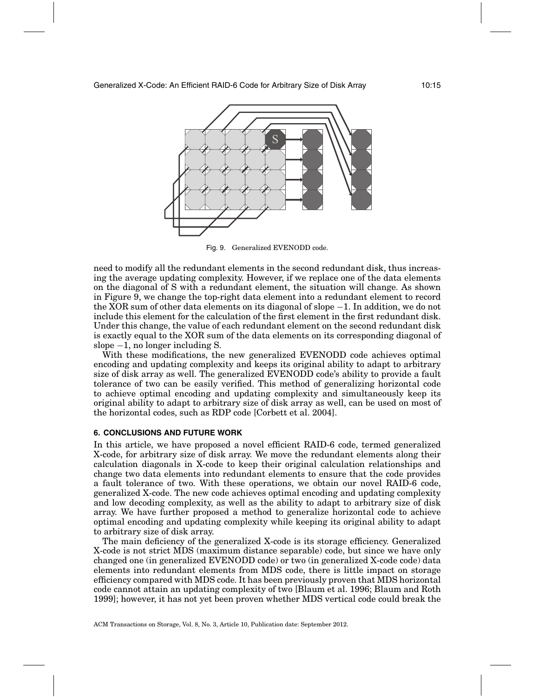

Fig. 9. Generalized EVENODD code.

need to modify all the redundant elements in the second redundant disk, thus increasing the average updating complexity. However, if we replace one of the data elements on the diagonal of S with a redundant element, the situation will change. As shown in Figure 9, we change the top-right data element into a redundant element to record the XOR sum of other data elements on its diagonal of slope −1. In addition, we do not include this element for the calculation of the first element in the first redundant disk. Under this change, the value of each redundant element on the second redundant disk is exactly equal to the XOR sum of the data elements on its corresponding diagonal of slope −1, no longer including S.

With these modifications, the new generalized EVENODD code achieves optimal encoding and updating complexity and keeps its original ability to adapt to arbitrary size of disk array as well. The generalized EVENODD code's ability to provide a fault tolerance of two can be easily verified. This method of generalizing horizontal code to achieve optimal encoding and updating complexity and simultaneously keep its original ability to adapt to arbitrary size of disk array as well, can be used on most of the horizontal codes, such as RDP code [Corbett et al. 2004].

## **6. CONCLUSIONS AND FUTURE WORK**

In this article, we have proposed a novel efficient RAID-6 code, termed generalized X-code, for arbitrary size of disk array. We move the redundant elements along their calculation diagonals in X-code to keep their original calculation relationships and change two data elements into redundant elements to ensure that the code provides a fault tolerance of two. With these operations, we obtain our novel RAID-6 code, generalized X-code. The new code achieves optimal encoding and updating complexity and low decoding complexity, as well as the ability to adapt to arbitrary size of disk array. We have further proposed a method to generalize horizontal code to achieve optimal encoding and updating complexity while keeping its original ability to adapt to arbitrary size of disk array.

The main deficiency of the generalized X-code is its storage efficiency. Generalized X-code is not strict MDS (maximum distance separable) code, but since we have only changed one (in generalized EVENODD code) or two (in generalized X-code code) data elements into redundant elements from MDS code, there is little impact on storage efficiency compared with MDS code. It has been previously proven that MDS horizontal code cannot attain an updating complexity of two [Blaum et al. 1996; Blaum and Roth 1999]; however, it has not yet been proven whether MDS vertical code could break the